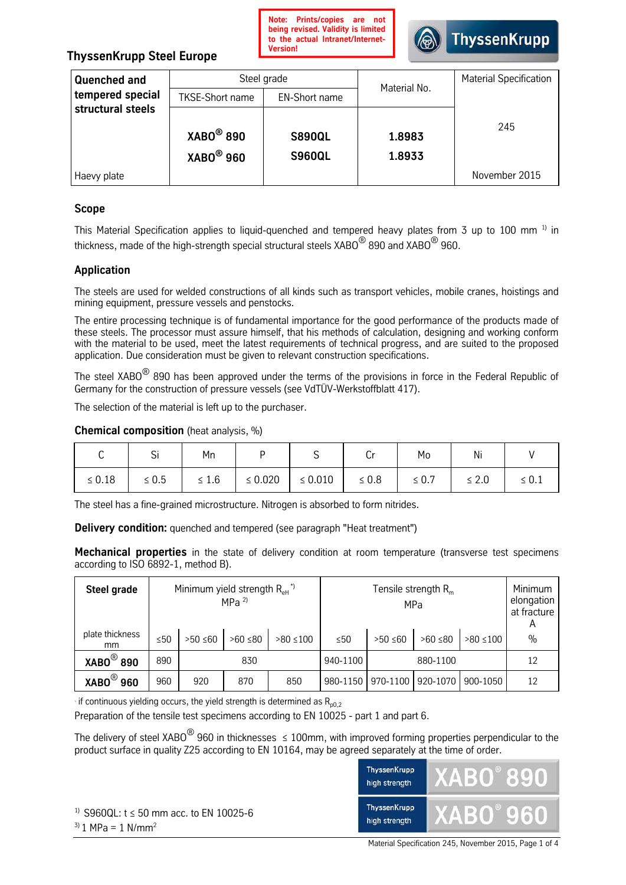

# **ThyssenKrupp Steel Europe**

| Quenched and      | Steel grade            |                      | Material No. | <b>Material Specification</b> |  |
|-------------------|------------------------|----------------------|--------------|-------------------------------|--|
| tempered special  | <b>TKSE-Short name</b> | <b>EN-Short name</b> |              |                               |  |
| structural steels |                        |                      |              |                               |  |
|                   | $XABO^@$ 890           | <b>S890QL</b>        | 1.8983       | 245                           |  |
|                   | $XABO^@960$            | <b>S960QL</b>        | 1.8933       |                               |  |
| Haevy plate       |                        |                      |              | November 2015                 |  |

# **Scope**

This Material Specification applies to liquid-quenched and tempered heavy plates from 3 up to 100 mm<sup>1)</sup> in thickness, made of the high-strength special structural steels  $XABO^{\textcircled{6}}$  890 and  $XABO^{\textcircled{6}}$  960.

# **Application**

The steels are used for welded constructions of all kinds such as transport vehicles, mobile cranes, hoistings and mining equipment, pressure vessels and penstocks.

The entire processing technique is of fundamental importance for the good performance of the products made of these steels. The processor must assure himself, that his methods of calculation, designing and working conform with the material to be used, meet the latest requirements of technical progress, and are suited to the proposed application. Due consideration must be given to relevant construction specifications.

The steel XABO<sup>®</sup> 890 has been approved under the terms of the provisions in force in the Federal Republic of Germany for the construction of pressure vessels (see VdTÜV-Werkstoffblatt 417).

The selection of the material is left up to the purchaser.

#### **Chemical composition** (heat analysis, %)

| ◡           | $\mathbf{\sim}$<br>ગ | Mn         |              | ັ            | ◡          | Mo         | Ni         |            |
|-------------|----------------------|------------|--------------|--------------|------------|------------|------------|------------|
| $\leq 0.18$ | $\leq 0.5$           | $\leq 1.6$ | $\leq 0.020$ | $\leq 0.010$ | $\leq 0.8$ | $\leq 0.7$ | $\leq 2.0$ | $\leq 0.1$ |

The steel has a fine-grained microstructure. Nitrogen is absorbed to form nitrides.

**Delivery condition:** quenched and tempered (see paragraph "Heat treatment")

**Mechanical properties** in the state of delivery condition at room temperature (transverse test specimens according to ISO 6892-1, method B).

| Steel grade           |     | Minimum yield strength $R_{\text{eH}}^{\text{A}}$<br>MPa $^{2)}$ |              |               | Tensile strength $Rm$<br>MPa |               |              | Minimum<br>elongation<br>at fracture<br>A |               |
|-----------------------|-----|------------------------------------------------------------------|--------------|---------------|------------------------------|---------------|--------------|-------------------------------------------|---------------|
| plate thickness<br>mm | ≤50 | $>50$ ≤60                                                        | $>60 \le 80$ | $>80 \le 100$ | $\leq 50$                    | $>50 \leq 60$ | $>60 \le 80$ | $>80 \le 100$                             | $\frac{0}{0}$ |
| $XABO^@$ 890          | 890 | 830                                                              |              |               | 940-1100                     | 880-1100      |              |                                           | 12            |
| $XABO^@960$           | 960 | 920                                                              | 870          | 850           | 980-1150                     | 970-1100      | 920-1070     | 900-1050                                  | 12            |

 $\cdot$  if continuous yielding occurs, the yield strength is determined as  $R_{p0.2}$ 

Preparation of the tensile test specimens according to EN 10025 - part 1 and part 6.

The delivery of steel XABO<sup>®</sup> 960 in thicknesses ≤ 100mm, with improved forming properties perpendicular to the product surface in quality Z25 according to EN 10164, may be agreed separately at the time of order.



Material Specification 245, November 2015, Page 1 of 4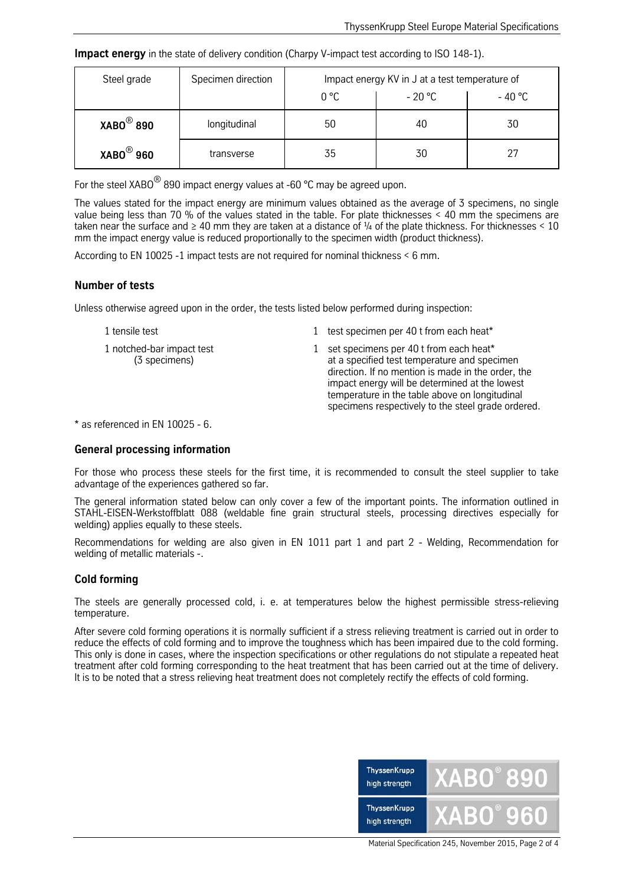**Impact energy** in the state of delivery condition (Charpy V-impact test according to ISO 148-1).

| Steel grade  | Specimen direction | Impact energy KV in J at a test temperature of |          |         |  |
|--------------|--------------------|------------------------------------------------|----------|---------|--|
|              |                    | 0 °C                                           | $-20 °C$ | - 40 °C |  |
| $XABO^@$ 890 | longitudinal       | 50                                             | 40       | 30      |  |
| $XABO^@$ 960 | transverse         | 35                                             | 30       | 27      |  |

For the steel XABO<sup>®</sup> 890 impact energy values at -60 °C may be agreed upon.

The values stated for the impact energy are minimum values obtained as the average of 3 specimens, no single value being less than 70 % of the values stated in the table. For plate thicknesses < 40 mm the specimens are taken near the surface and  $\geq 40$  mm they are taken at a distance of  $\frac{1}{4}$  of the plate thickness. For thicknesses < 10 mm the impact energy value is reduced proportionally to the specimen width (product thickness).

According to EN 10025 -1 impact tests are not required for nominal thickness < 6 mm.

#### **Number of tests**

Unless otherwise agreed upon in the order, the tests listed below performed during inspection:

- 1 tensile test 1 test specimen per 40 t from each heat\*
- 1 notched-bar impact test 1 set specimens per 40 t from each heat\* (3 specimens) at a specified test temperature and specimen direction. If no mention is made in the order, the impact energy will be determined at the lowest temperature in the table above on longitudinal specimens respectively to the steel grade ordered.

 $*$  as referenced in EN 10025 - 6.

#### **General processing information**

For those who process these steels for the first time, it is recommended to consult the steel supplier to take advantage of the experiences gathered so far.

The general information stated below can only cover a few of the important points. The information outlined in STAHL-EISEN-Werkstoffblatt 088 (weldable fine grain structural steels, processing directives especially for welding) applies equally to these steels.

Recommendations for welding are also given in EN 1011 part 1 and part 2 - Welding, Recommendation for welding of metallic materials -.

#### **Cold forming**

The steels are generally processed cold, i. e. at temperatures below the highest permissible stress-relieving temperature.

After severe cold forming operations it is normally sufficient if a stress relieving treatment is carried out in order to reduce the effects of cold forming and to improve the toughness which has been impaired due to the cold forming. This only is done in cases, where the inspection specifications or other regulations do not stipulate a repeated heat treatment after cold forming corresponding to the heat treatment that has been carried out at the time of delivery. It is to be noted that a stress relieving heat treatment does not completely rectify the effects of cold forming.



Material Specification 245, November 2015, Page 2 of 4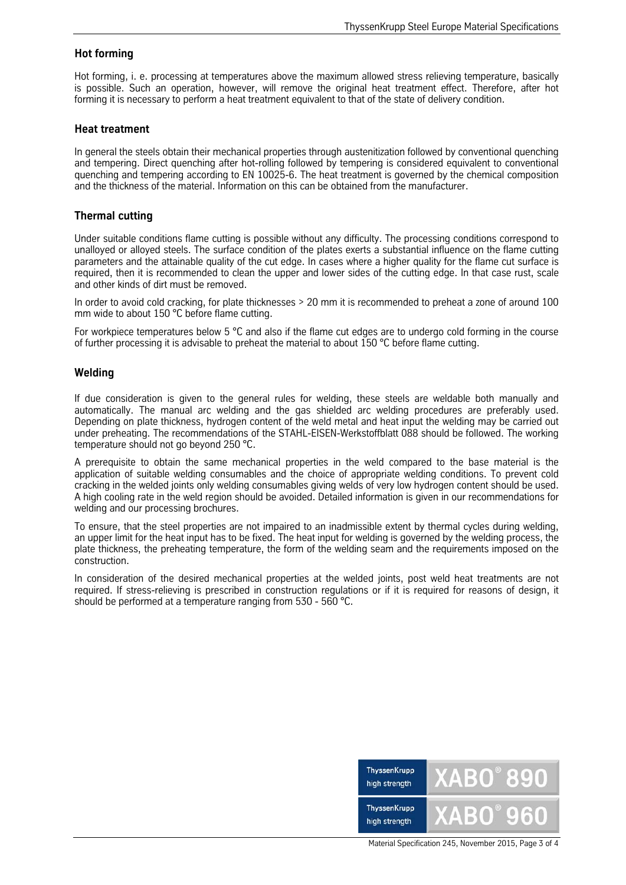## **Hot forming**

Hot forming, i. e. processing at temperatures above the maximum allowed stress relieving temperature, basically is possible. Such an operation, however, will remove the original heat treatment effect. Therefore, after hot forming it is necessary to perform a heat treatment equivalent to that of the state of delivery condition.

#### **Heat treatment**

In general the steels obtain their mechanical properties through austenitization followed by conventional quenching and tempering. Direct quenching after hot-rolling followed by tempering is considered equivalent to conventional quenching and tempering according to EN 10025-6. The heat treatment is governed by the chemical composition and the thickness of the material. Information on this can be obtained from the manufacturer.

## **Thermal cutting**

Under suitable conditions flame cutting is possible without any difficulty. The processing conditions correspond to unalloyed or alloyed steels. The surface condition of the plates exerts a substantial influence on the flame cutting parameters and the attainable quality of the cut edge. In cases where a higher quality for the flame cut surface is required, then it is recommended to clean the upper and lower sides of the cutting edge. In that case rust, scale and other kinds of dirt must be removed.

In order to avoid cold cracking, for plate thicknesses > 20 mm it is recommended to preheat a zone of around 100 mm wide to about 150 °C before flame cutting.

For workpiece temperatures below 5 °C and also if the flame cut edges are to undergo cold forming in the course of further processing it is advisable to preheat the material to about 150 °C before flame cutting.

## **Welding**

If due consideration is given to the general rules for welding, these steels are weldable both manually and automatically. The manual arc welding and the gas shielded arc welding procedures are preferably used. Depending on plate thickness, hydrogen content of the weld metal and heat input the welding may be carried out under preheating. The recommendations of the STAHL-EISEN-Werkstoffblatt 088 should be followed. The working temperature should not go beyond 250 °C.

A prerequisite to obtain the same mechanical properties in the weld compared to the base material is the application of suitable welding consumables and the choice of appropriate welding conditions. To prevent cold cracking in the welded joints only welding consumables giving welds of very low hydrogen content should be used. A high cooling rate in the weld region should be avoided. Detailed information is given in our recommendations for welding and our processing brochures.

To ensure, that the steel properties are not impaired to an inadmissible extent by thermal cycles during welding, an upper limit for the heat input has to be fixed. The heat input for welding is governed by the welding process, the plate thickness, the preheating temperature, the form of the welding seam and the requirements imposed on the construction.

In consideration of the desired mechanical properties at the welded joints, post weld heat treatments are not required. If stress-relieving is prescribed in construction regulations or if it is required for reasons of design, it should be performed at a temperature ranging from 530 - 560 °C.



Material Specification 245, November 2015, Page 3 of 4